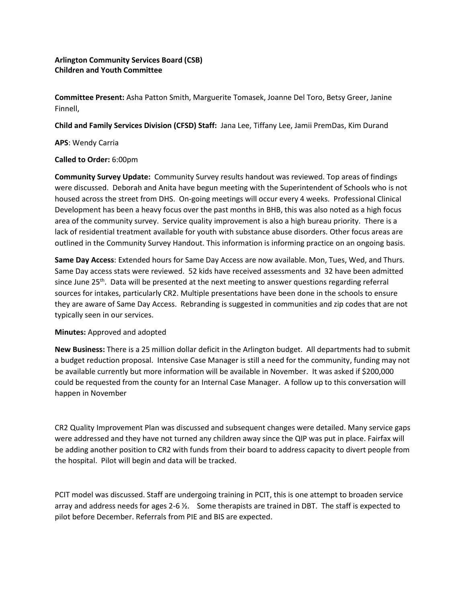# **Arlington Community Services Board (CSB) Children and Youth Committee**

**Committee Present:** Asha Patton Smith, Marguerite Tomasek, Joanne Del Toro, Betsy Greer, Janine Finnell,

**Child and Family Services Division (CFSD) Staff:** Jana Lee, Tiffany Lee, Jamii PremDas, Kim Durand

## **APS**: Wendy Carria

## **Called to Order:** 6:00pm

**Community Survey Update:** Community Survey results handout was reviewed. Top areas of findings were discussed. Deborah and Anita have begun meeting with the Superintendent of Schools who is not housed across the street from DHS. On-going meetings will occur every 4 weeks. Professional Clinical Development has been a heavy focus over the past months in BHB, this was also noted as a high focus area of the community survey. Service quality improvement is also a high bureau priority. There is a lack of residential treatment available for youth with substance abuse disorders. Other focus areas are outlined in the Community Survey Handout. This information is informing practice on an ongoing basis.

**Same Day Access**: Extended hours for Same Day Access are now available. Mon, Tues, Wed, and Thurs. Same Day access stats were reviewed. 52 kids have received assessments and 32 have been admitted since June  $25<sup>th</sup>$ . Data will be presented at the next meeting to answer questions regarding referral sources for intakes, particularly CR2. Multiple presentations have been done in the schools to ensure they are aware of Same Day Access. Rebranding is suggested in communities and zip codes that are not typically seen in our services.

## **Minutes:** Approved and adopted

**New Business:** There is a 25 million dollar deficit in the Arlington budget. All departments had to submit a budget reduction proposal. Intensive Case Manager is still a need for the community, funding may not be available currently but more information will be available in November. It was asked if \$200,000 could be requested from the county for an Internal Case Manager. A follow up to this conversation will happen in November

CR2 Quality Improvement Plan was discussed and subsequent changes were detailed. Many service gaps were addressed and they have not turned any children away since the QIP was put in place. Fairfax will be adding another position to CR2 with funds from their board to address capacity to divert people from the hospital. Pilot will begin and data will be tracked.

PCIT model was discussed. Staff are undergoing training in PCIT, this is one attempt to broaden service array and address needs for ages 2-6 ½. Some therapists are trained in DBT. The staff is expected to pilot before December. Referrals from PIE and BIS are expected.